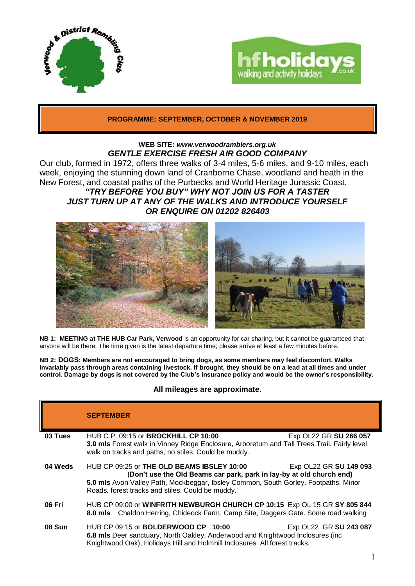



# **PROGRAMME: SEPTEMBER, OCTOBER & NOVEMBER 2019**

### **WEB SITE:** *[www.verwoodramblers.org.uk](http://www.verwoodramblers.org.uk/) GENTLE EXERCISE FRESH AIR GOOD COMPANY*

Our club, formed in 1972, offers three walks of 3-4 miles, 5-6 miles, and 9-10 miles, each week, enjoying the stunning down land of Cranborne Chase, woodland and heath in the New Forest, and coastal paths of the Purbecks and World Heritage Jurassic Coast.

# *"TRY BEFORE YOU BUY" WHY NOT JOIN US FOR A TASTER JUST TURN UP AT ANY OF THE WALKS AND INTRODUCE YOURSELF OR ENQUIRE ON 01202 826403*



**NB 1: MEETING at THE HUB Car Park, Verwood** is an opportunity for car sharing, but it cannot be guaranteed that anyone will be there. The time given is the latest departure time; please arrive at least a few minutes before.

**NB 2: DOGS: Members are not encouraged to bring dogs, as some members may feel discomfort. Walks invariably pass through areas containing livestock. If brought, they should be on a lead at all times and under control. Damage by dogs is not covered by the Club's insurance policy and would be the owner's responsibility.**

## **All mileages are approximate.**

|               | <b>SEPTEMBER</b>                                                                                                                                                                                                                                                |                        |
|---------------|-----------------------------------------------------------------------------------------------------------------------------------------------------------------------------------------------------------------------------------------------------------------|------------------------|
| 03 Tues       | HUB C.P. 09:15 or <b>BROCKHILL CP 10:00</b><br>3.0 mls Forest walk in Vinney Ridge Enclosure, Arboretum and Tall Trees Trail. Fairly level<br>walk on tracks and paths, no stiles. Could be muddy.                                                              | Exp OL22 GR SU 266 057 |
| 04 Weds       | $HUB$ CP 09:25 or THE OLD BEAMS IBSLEY 10:00<br>(Don't use the Old Beams car park, park in lay-by at old church end)<br>5.0 mls Avon Valley Path, Mockbeggar, Ibsley Common, South Gorley. Footpaths, Minor<br>Roads, forest tracks and stiles. Could be muddy. | Exp OL22 GR SU 149 093 |
| 06 Fri        | HUB CP 09:00 or WINFRITH NEWBURGH CHURCH CP 10:15 Exp OL 15 GR SY 805 844<br>8.0 mls Chaldon Herring, Chideock Farm, Camp Site, Daggers Gate. Some road walking                                                                                                 |                        |
| <b>08 Sun</b> | HUB CP 09:15 or BOLDERWOOD CP 10:00<br>6.8 mls Deer sanctuary, North Oakley, Anderwood and Knightwood Inclosures (inc<br>Knightwood Oak), Holidays Hill and Holmhill Inclosures. All forest tracks.                                                             | Exp OL22 GR SU 243 087 |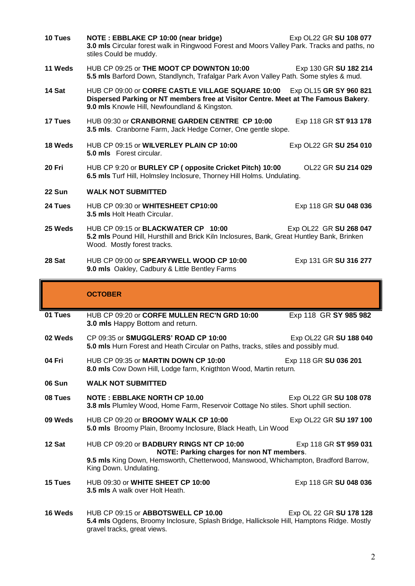| 10 Tues       | NOTE: EBBLAKE CP 10:00 (near bridge)<br>Exp OL22 GR SU 108 077<br>3.0 mls Circular forest walk in Ringwood Forest and Moors Valley Park. Tracks and paths, no<br>stiles Could be muddy.                            |  |  |
|---------------|--------------------------------------------------------------------------------------------------------------------------------------------------------------------------------------------------------------------|--|--|
| 11 Weds       | HUB CP 09:25 or THE MOOT CP DOWNTON 10:00<br>Exp 130 GR SU 182 214<br>5.5 mls Barford Down, Standlynch, Trafalgar Park Avon Valley Path. Some styles & mud.                                                        |  |  |
| 14 Sat        | HUB CP 09:00 or CORFE CASTLE VILLAGE SQUARE 10:00<br>Exp OL15 GR SY 960 821<br>Dispersed Parking or NT members free at Visitor Centre. Meet at The Famous Bakery.<br>9.0 mls Knowle Hill, Newfoundland & Kingston. |  |  |
| 17 Tues       | HUB 09:30 or CRANBORNE GARDEN CENTRE CP 10:00<br>Exp 118 GR ST 913 178<br>3.5 mls. Cranborne Farm, Jack Hedge Corner, One gentle slope.                                                                            |  |  |
| 18 Weds       | HUB CP 09:15 or WILVERLEY PLAIN CP 10:00<br>Exp OL22 GR SU 254 010<br><b>5.0 mls</b> Forest circular.                                                                                                              |  |  |
| 20 Fri        | HUB CP 9:20 or BURLEY CP (opposite Cricket Pitch) 10:00<br>OL22 GR SU 214 029<br>6.5 mls Turf Hill, Holmsley Inclosure, Thorney Hill Holms. Undulating.                                                            |  |  |
| <b>22 Sun</b> | <b>WALK NOT SUBMITTED</b>                                                                                                                                                                                          |  |  |
| 24 Tues       | HUB CP 09:30 or WHITESHEET CP10:00<br>Exp 118 GR SU 048 036<br>3.5 mls Holt Heath Circular.                                                                                                                        |  |  |
| 25 Weds       | HUB CP 09:15 or BLACKWATER CP 10:00<br>Exp OL22 GR SU 268 047<br>5.2 mls Pound Hill, Hursthill and Brick Kiln Inclosures, Bank, Great Huntley Bank, Brinken<br>Wood. Mostly forest tracks.                         |  |  |
| 28 Sat        | HUB CP 09:00 or SPEARYWELL WOOD CP 10:00<br>Exp 131 GR SU 316 277<br>9.0 mls Oakley, Cadbury & Little Bentley Farms                                                                                                |  |  |
|               |                                                                                                                                                                                                                    |  |  |
|               | <b>OCTOBER</b>                                                                                                                                                                                                     |  |  |
| 01 Tues       | HUB CP 09:20 or CORFE MULLEN REC'N GRD 10:00<br>Exp 118 GR SY 985 982<br>3.0 mls Happy Bottom and return.                                                                                                          |  |  |
| 02 Weds       | CP 09:35 or SMUGGLERS' ROAD CP 10:00<br>Exp OL22 GR SU 188 040<br>5.0 mls Hurn Forest and Heath Circular on Paths, tracks, stiles and possibly mud.                                                                |  |  |
| 04 Fri        | HUB CP 09:35 or MARTIN DOWN CP 10:00<br>Exp 118 GR SU 036 201<br>8.0 mls Cow Down Hill, Lodge farm, Knigthton Wood, Martin return.                                                                                 |  |  |
| <b>06 Sun</b> | <b>WALK NOT SUBMITTED</b>                                                                                                                                                                                          |  |  |
| 08 Tues       | <b>NOTE: EBBLAKE NORTH CP 10.00</b><br>Exp OL22 GR SU 108 078<br>3.8 mls Plumley Wood, Home Farm, Reservoir Cottage No stiles. Short uphill section.                                                               |  |  |
| 09 Weds       | HUB CP 09:20 or BROOMY WALK CP 10:00<br>Exp OL22 GR SU 197 100<br>5.0 mls Broomy Plain, Broomy Inclosure, Black Heath, Lin Wood                                                                                    |  |  |
| 12 Sat        | HUB CP 09:20 or BADBURY RINGS NT CP 10:00<br>Exp 118 GR ST 959 031                                                                                                                                                 |  |  |
|               | NOTE: Parking charges for non NT members.<br>9.5 mls King Down, Hemsworth, Chetterwood, Manswood, Whichampton, Bradford Barrow,<br>King Down. Undulating.                                                          |  |  |
| 15 Tues       | HUB 09:30 or WHITE SHEET CP 10:00<br>Exp 118 GR SU 048 036<br>3.5 mls A walk over Holt Heath.                                                                                                                      |  |  |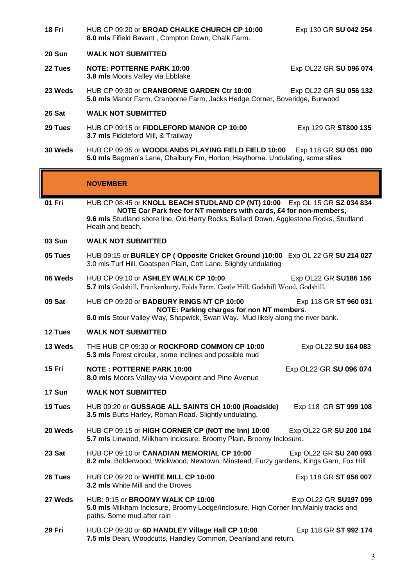| 18 Fri        | HUB CP 09:20 or BROAD CHALKE CHURCH CP 10:00<br>8.0 mls Fifield Bavant, Compton Down, Chalk Farm.                                                                                                                                                             | Exp 130 GR SU 042 254  |  |
|---------------|---------------------------------------------------------------------------------------------------------------------------------------------------------------------------------------------------------------------------------------------------------------|------------------------|--|
| <b>20 Sun</b> | <b>WALK NOT SUBMITTED</b>                                                                                                                                                                                                                                     |                        |  |
| 22 Tues       | <b>NOTE: POTTERNE PARK 10:00</b><br>3.8 mls Moors Valley via Ebblake                                                                                                                                                                                          | Exp OL22 GR SU 096 074 |  |
| 23 Weds       | HUB CP 09:30 or CRANBORNE GARDEN Ctr 10:00<br>Exp OL22 GR SU 056 132<br>5.0 mls Manor Farm, Cranborne Farm, Jacks Hedge Corner, Boveridge, Burwood                                                                                                            |                        |  |
| 26 Sat        | <b>WALK NOT SUBMITTED</b>                                                                                                                                                                                                                                     |                        |  |
| 29 Tues       | HUB CP 09:15 or FIDDLEFORD MANOR CP 10:00<br>3.7 mls Fiddleford Mill, & Trailway                                                                                                                                                                              | Exp 129 GR ST800 135   |  |
| 30 Weds       | HUB CP 09:35 or WOODLANDS PLAYING FIELD FIELD 10:00<br>Exp 118 GR SU 051 090<br>5.0 mls Bagman's Lane, Chalbury Fm, Horton, Haythorne. Undulating, some stiles.                                                                                               |                        |  |
|               | <b>NOVEMBER</b>                                                                                                                                                                                                                                               |                        |  |
| 01 Fri        | HUB CP 08:45 or KNOLL BEACH STUDLAND CP (NT) 10:00 Exp OL 15 GR SZ 034 834<br>NOTE Car Park free for NT members with cards, £4 for non-members,<br>9.6 mls Studland shore line, Old Harry Rocks, Ballard Down, Agglestone Rocks, Studland<br>Heath and beach. |                        |  |
| 03 Sun        | <b>WALK NOT SUBMITTED</b>                                                                                                                                                                                                                                     |                        |  |
| 05 Tues       | HUB 09:15 or BURLEY CP (Opposite Cricket Ground )10:00 Exp OL 22 GR SU 214 027<br>3.0 mls Turf Hill, Goatspen Plain, Cott Lane. Slightly undulating                                                                                                           |                        |  |
| 06 Weds       | HUB CP 09:10 or ASHLEY WALK CP 10:00<br>5.7 mls Godshill, Frankenbury, Folds Farm, Castle Hill, Godshill Wood, Godshill.                                                                                                                                      | Exp OL22 GR SU186 156  |  |
| 09 Sat        | HUB CP 09:20 or BADBURY RINGS NT CP 10:00<br>Exp 118 GR ST 960 031<br>NOTE: Parking charges for non NT members.<br>8.0 mls Stour Valley Way, Shapwick, Swan Way. Mud likely along the river bank.                                                             |                        |  |
| 12 Tues       | <b>WALK NOT SUBMITTED</b>                                                                                                                                                                                                                                     |                        |  |
| 13 Weds       | THE HUB CP 09:30 or ROCKFORD COMMON CP 10:00<br>5.3 mls Forest circular, some inclines and possible mud                                                                                                                                                       | Exp OL22 SU 164 083    |  |
| 15 Fri        | <b>NOTE: POTTERNE PARK 10:00</b><br>8.0 mls Moors Valley via Viewpoint and Pine Avenue                                                                                                                                                                        | Exp OL22 GR SU 096 074 |  |
| 17 Sun        | <b>WALK NOT SUBMITTED</b>                                                                                                                                                                                                                                     |                        |  |
| 19 Tues       | HUB 09:20 or GUSSAGE ALL SAINTS CH 10:00 (Roadside)<br>3.5 mls Burts Harley, Roman Road. Slightly undulating.                                                                                                                                                 | Exp 118 GR ST 999 108  |  |
| 20 Weds       | HUB CP 09.15 or HIGH CORNER CP (NOT the Inn) 10:00<br>5.7 mls Linwood, Milkham Inclosure, Broomy Plain, Broomy Inclosure.                                                                                                                                     | Exp OL22 GR SU 200 104 |  |
| 23 Sat        | HUB CP 09:10 or CANADIAN MEMORIAL CP 10:00<br>8.2 mls. Bolderwood, Wickwood, Newtown, Minstead, Furzy gardens, Kings Garn, Fox Hill                                                                                                                           | Exp OL22 GR SU 240 093 |  |
| 26 Tues       | HUB CP 09:20 or WHITE MILL CP 10:00<br>3.2 mls White Mill and the Droves                                                                                                                                                                                      | Exp 118 GR ST 958 007  |  |
| 27 Weds       | HUB: 9:15 or BROOMY WALK CP 10:00<br>Exp OL22 GR SU197 099<br>5.0 mls Milkham Inclosure, Broomy Lodge/Inclosure, High Corner Inn. Mainly tracks and<br>paths. Some mud after rain                                                                             |                        |  |
| 29 Fri        | HUB CP 09:30 or 6D HANDLEY Village Hall CP 10:00<br>7.5 mls Dean, Woodcutts, Handley Common, Deanland and return.                                                                                                                                             | Exp 118 GR ST 992 174  |  |